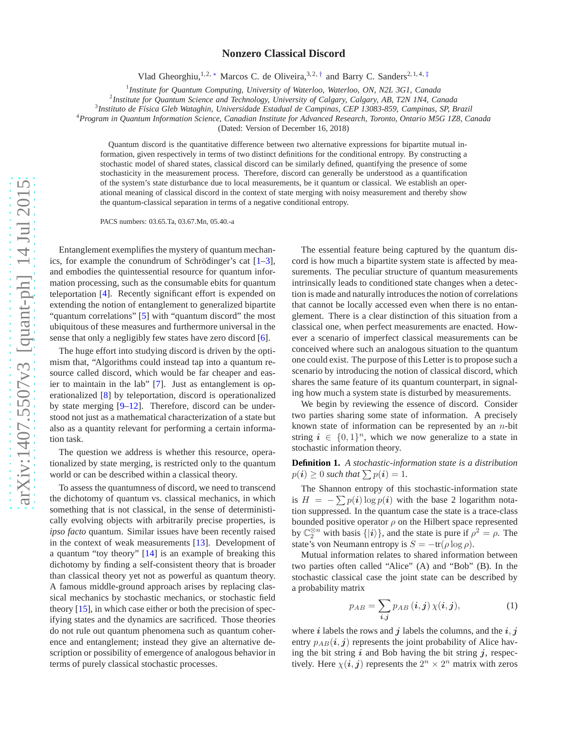## **Nonzero Classical Discord**

Vlad Gheorghiu,<sup>1,2,\*</sup> Marcos C. de Oliveira,<sup>3,2,[†](#page-4-1)</sup> and Barry C. Sanders<sup>2,1,4,[‡](#page-4-2)</sup>

1 *Institute for Quantum Computing, University of Waterloo, Waterloo, ON, N2L 3G1, Canada*

2 *Institute for Quantum Science and Technology, University of Calgary, Calgary, AB, T2N 1N4, Canada*

3 *Instituto de F´ısica Gleb Wataghin, Universidade Estadual de Campinas, CEP 13083-859, Campinas, SP, Brazil*

<sup>4</sup>*Program in Quantum Information Science, Canadian Institute for Advanced Research, Toronto, Ontario M5G 1Z8, Canada*

(Dated: Version of December 16, 2018)

Quantum discord is the quantitative difference between two alternative expressions for bipartite mutual information, given respectively in terms of two distinct definitions for the conditional entropy. By constructing a stochastic model of shared states, classical discord can be similarly defined, quantifying the presence of some stochasticity in the measurement process. Therefore, discord can generally be understood as a quantification of the system's state disturbance due to local measurements, be it quantum or classical. We establish an operational meaning of classical discord in the context of state merging with noisy measurement and thereby show the quantum-classical separation in terms of a negative conditional entropy.

PACS numbers: 03.65.Ta, 03.67.Mn, 05.40.-a

Entanglement exemplifies the mystery of quantum mechanics, for example the conundrum of Schrödinger's cat  $[1-3]$ , and embodies the quintessential resource for quantum information processing, such as the consumable ebits for quantum teleportation [\[4](#page-4-5)]. Recently significant effort is expended on extending the notion of entanglement to generalized bipartite "quantum correlations" [\[5\]](#page-4-6) with "quantum discord" the most ubiquitous of these measures and furthermore universal in the sense that only a negligibly few states have zero discord [\[6\]](#page-4-7).

The huge effort into studying discord is driven by the optimism that, "Algorithms could instead tap into a quantum resource called discord, which would be far cheaper and easier to maintain in the lab" [\[7](#page-4-8)]. Just as entanglement is operationalized [\[8](#page-4-9)] by teleportation, discord is operationalized by state merging [\[9](#page-4-10)[–12](#page-4-11)]. Therefore, discord can be understood not just as a mathematical characterization of a state but also as a quantity relevant for performing a certain information task.

The question we address is whether this resource, operationalized by state merging, is restricted only to the quantum world or can be described within a classical theory.

To assess the quantumness of discord, we need to transcend the dichotomy of quantum vs. classical mechanics, in which something that is not classical, in the sense of deterministically evolving objects with arbitrarily precise properties, is *ipso facto* quantum. Similar issues have been recently raised in the context of weak measurements [\[13\]](#page-4-12). Development of a quantum "toy theory" [\[14\]](#page-4-13) is an example of breaking this dichotomy by finding a self-consistent theory that is broader than classical theory yet not as powerful as quantum theory. A famous middle-ground approach arises by replacing classical mechanics by stochastic mechanics, or stochastic field theory [\[15\]](#page-4-14), in which case either or both the precision of specifying states and the dynamics are sacrificed. Those theories do not rule out quantum phenomena such as quantum coherence and entanglement; instead they give an alternative description or possibility of emergence of analogous behavior in terms of purely classical stochastic processes.

The essential feature being captured by the quantum discord is how much a bipartite system state is affected by measurements. The peculiar structure of quantum measurements intrinsically leads to conditioned state changes when a detection is made and naturally introduces the notion of correlations that cannot be locally accessed even when there is no entanglement. There is a clear distinction of this situation from a classical one, when perfect measurements are enacted. However a scenario of imperfect classical measurements can be conceived where such an analogous situation to the quantum one could exist. The purpose of this Letter is to propose such a scenario by introducing the notion of classical discord, which shares the same feature of its quantum counterpart, in signaling how much a system state is disturbed by measurements.

We begin by reviewing the essence of discord. Consider two parties sharing some state of information. A precisely known state of information can be represented by an  $n$ -bit string  $i \in \{0,1\}^n$ , which we now generalize to a state in stochastic information theory.

**Definition 1.** *A stochastic-information state is a distribution*  $p(i) \geq 0$  *such that*  $\sum p(i) = 1$ *.* 

The Shannon entropy of this stochastic-information state is  $H = -\sum p(i) \log p(i)$  with the base 2 logarithm notation suppressed. In the quantum case the state is a trace-class bounded positive operator  $\rho$  on the Hilbert space represented by  $\mathbb{C}_2^{\otimes n}$  with basis  $\{|i\rangle\}$ , and the state is pure if  $\rho^2 = \rho$ . The state's von Neumann entropy is  $S = -\text{tr}(\rho \log \rho)$ .

Mutual information relates to shared information between two parties often called "Alice" (A) and "Bob" (B). In the stochastic classical case the joint state can be described by a probability matrix

<span id="page-0-0"></span>
$$
p_{AB} = \sum_{i,j} p_{AB} (i,j) \chi(i,j), \qquad (1)
$$

where i labels the rows and j labels the columns, and the  $i, j$ entry  $p_{AB}(\boldsymbol{i}, \boldsymbol{j})$  represents the joint probability of Alice having the bit string  $i$  and Bob having the bit string  $j$ , respectively. Here  $\chi(i, j)$  represents the  $2^n \times 2^n$  matrix with zeros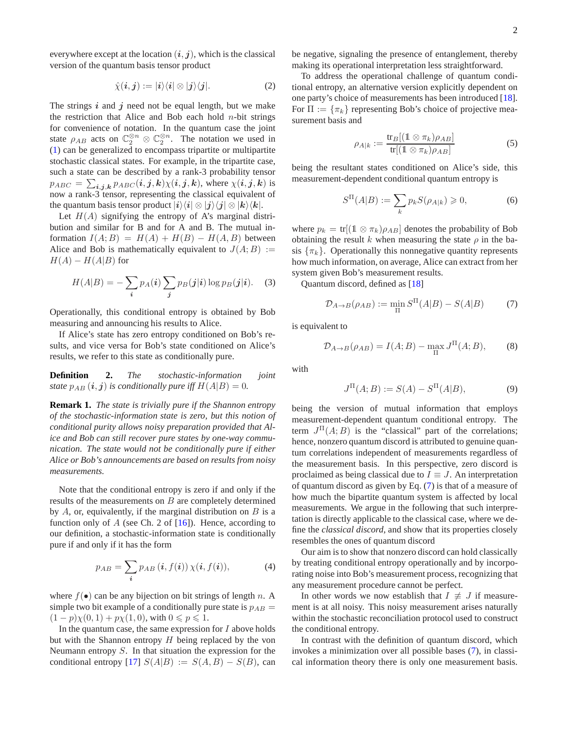everywhere except at the location  $(i, j)$ , which is the classical version of the quantum basis tensor product

<span id="page-1-2"></span>
$$
\hat{\chi}(\boldsymbol{i},\boldsymbol{j}) := |\boldsymbol{i}\rangle\langle\boldsymbol{i}| \otimes |\boldsymbol{j}\rangle\langle\boldsymbol{j}|.\tag{2}
$$

The strings  $i$  and  $j$  need not be equal length, but we make the restriction that Alice and Bob each hold  $n$ -bit strings for convenience of notation. In the quantum case the joint state  $\rho_{AB}$  acts on  $\mathbb{C}_2^{\otimes n} \otimes \mathbb{C}_2^{\otimes n}$ . The notation we used in [\(1\)](#page-0-0) can be generalized to encompass tripartite or multipartite stochastic classical states. For example, in the tripartite case, such a state can be described by a rank-3 probability tensor  $p_{ABC} = \sum_{i,j,k} p_{ABC}(i,j,k) \chi(i,j,k)$ , where  $\chi(i,j,k)$  is now a rank-3 tensor, representing the classical equivalent of the quantum basis tensor product  $|i\rangle\langle i| \otimes |j\rangle\langle j| \otimes |k\rangle\langle k|$ .

Let  $H(A)$  signifying the entropy of A's marginal distribution and similar for B and for A and B. The mutual information  $I(A;B) = H(A) + H(B) - H(A, B)$  between Alice and Bob is mathematically equivalent to  $J(A;B) :=$  $H(A) - H(A|B)$  for

$$
H(A|B) = -\sum_{i} p_A(i) \sum_{j} p_B(j|i) \log p_B(j|i). \quad (3)
$$

Operationally, this conditional entropy is obtained by Bob measuring and announcing his results to Alice.

If Alice's state has zero entropy conditioned on Bob's results, and vice versa for Bob's state conditioned on Alice's results, we refer to this state as conditionally pure.

<span id="page-1-3"></span>**Definition 2.** *The stochastic-information joint state*  $p_{AB}$   $(i, j)$  *is conditionally pure iff*  $H(A|B) = 0$ *.* 

**Remark 1.** *The state is trivially pure if the Shannon entropy of the stochastic-information state is zero, but this notion of conditional purity allows noisy preparation provided that Alice and Bob can still recover pure states by one-way communication. The state would not be conditionally pure if either Alice or Bob's announcements are based on results from noisy measurements.*

Note that the conditional entropy is zero if and only if the results of the measurements on B are completely determined by  $A$ , or, equivalently, if the marginal distribution on  $B$  is a function only of A (see Ch. 2 of  $[16]$ ). Hence, according to our definition, a stochastic-information state is conditionally pure if and only if it has the form

$$
p_{AB} = \sum_{i} p_{AB} (i, f(i)) \chi(i, f(i)), \qquad (4)
$$

where  $f(\bullet)$  can be any bijection on bit strings of length n. A simple two bit example of a conditionally pure state is  $p_{AB}$  =  $(1-p)\chi(0,1) + p\chi(1,0)$ , with  $0 \leq p \leq 1$ .

In the quantum case, the same expression for  $I$  above holds but with the Shannon entropy  $H$  being replaced by the von Neumann entropy  $S$ . In that situation the expression for the conditional entropy  $[17] S(A|B) := S(A, B) - S(B)$ , can

be negative, signaling the presence of entanglement, thereby making its operational interpretation less straightforward.

To address the operational challenge of quantum conditional entropy, an alternative version explicitly dependent on one party's choice of measurements has been introduced [\[18](#page-4-17)]. For  $\Pi := {\lbrace \pi_k \rbrace}$  representing Bob's choice of projective measurement basis and

$$
\rho_{A|k} := \frac{\text{tr}_B[(1 \otimes \pi_k)\rho_{AB}]}{\text{tr}[(1 \otimes \pi_k)\rho_{AB}]}
$$
(5)

being the resultant states conditioned on Alice's side, this measurement-dependent conditional quantum entropy is

$$
S^{\Pi}(A|B) := \sum_{k} p_k S(\rho_{A|k}) \geqslant 0,
$$
\n<sup>(6)</sup>

where  $p_k = \text{tr}[(1 \otimes \pi_k)\rho_{AB}]$  denotes the probability of Bob obtaining the result k when measuring the state  $\rho$  in the basis  $\{\pi_k\}$ . Operationally this nonnegative quantity represents how much information, on average, Alice can extract from her system given Bob's measurement results.

Quantum discord, defined as [\[18\]](#page-4-17)

<span id="page-1-0"></span>
$$
\mathcal{D}_{A \to B}(\rho_{AB}) := \min_{\Pi} S^{\Pi}(A|B) - S(A|B) \tag{7}
$$

is equivalent to

<span id="page-1-1"></span>
$$
\mathcal{D}_{A \to B}(\rho_{AB}) = I(A;B) - \max_{\Pi} J^{\Pi}(A;B),\tag{8}
$$

with

$$
J^{\Pi}(A;B) := S(A) - S^{\Pi}(A|B),
$$
 (9)

being the version of mutual information that employs measurement-dependent quantum conditional entropy. The term  $J^{\Pi}(A;B)$  is the "classical" part of the correlations; hence, nonzero quantum discord is attributed to genuine quantum correlations independent of measurements regardless of the measurement basis. In this perspective, zero discord is proclaimed as being classical due to  $I \equiv J$ . An interpretation of quantum discord as given by Eq. [\(7\)](#page-1-0) is that of a measure of how much the bipartite quantum system is affected by local measurements. We argue in the following that such interpretation is directly applicable to the classical case, where we define the *classical discord*, and show that its properties closely resembles the ones of quantum discord

Our aim is to show that nonzero discord can hold classically by treating conditional entropy operationally and by incorporating noise into Bob's measurement process, recognizing that any measurement procedure cannot be perfect.

In other words we now establish that  $I \not\equiv J$  if measurement is at all noisy. This noisy measurement arises naturally within the stochastic reconciliation protocol used to construct the conditional entropy.

In contrast with the definition of quantum discord, which invokes a minimization over all possible bases [\(7\)](#page-1-0), in classical information theory there is only one measurement basis.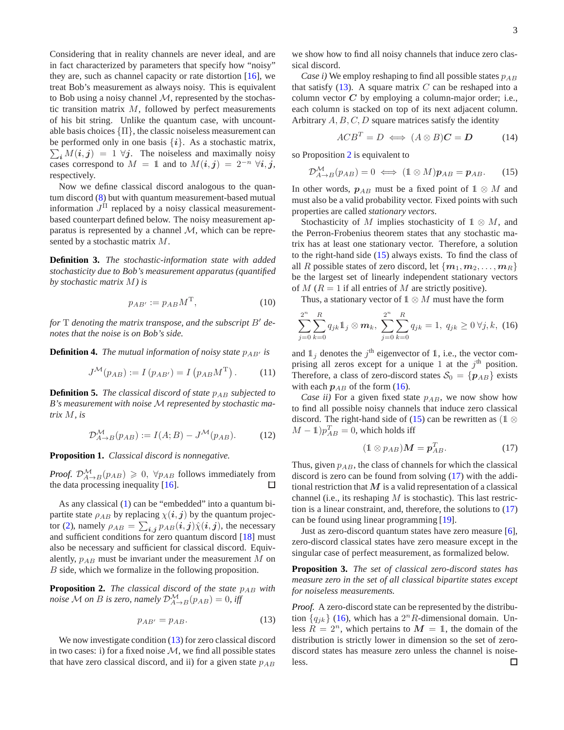Considering that in reality channels are never ideal, and are in fact characterized by parameters that specify how "noisy" they are, such as channel capacity or rate distortion [\[16\]](#page-4-15), we treat Bob's measurement as always noisy. This is equivalent to Bob using a noisy channel  $M$ , represented by the stochastic transition matrix  $M$ , followed by perfect measurements of his bit string. Unlike the quantum case, with uncountable basis choices  $\{\Pi\}$ , the classic noiseless measurement can  $\sum_i M(i, j) = 1 \forall j$ . The noiseless and maximally noisy be performed only in one basis  $\{i\}$ . As a stochastic matrix, cases correspond to  $M = 1$  and to  $M(i, j) = 2^{-n} \forall i, j$ , respectively.

Now we define classical discord analogous to the quantum discord [\(8\)](#page-1-1) but with quantum measurement-based mutual information  $J^{\Pi}$  replaced by a noisy classical measurementbased counterpart defined below. The noisy measurement apparatus is represented by a channel  $M$ , which can be represented by a stochastic matrix M.

**Definition 3.** *The stochastic-information state with added stochasticity due to Bob's measurement apparatus (quantified by stochastic matrix* M*) is*

$$
p_{AB'} := p_{AB} M^{\mathrm{T}},\tag{10}
$$

*for* T *denoting the matrix transpose, and the subscript* B′ *denotes that the noise is on Bob's side.*

**Definition 4.** *The mutual information of noisy state*  $p_{AB'}$  *is* 

<span id="page-2-5"></span>
$$
J^{\mathcal{M}}(p_{AB}) := I(p_{AB'}) = I(p_{AB}M^{T}). \qquad (11)
$$

**Definition 5.** *The classical discord of state*  $p_{AB}$  *subjected to B's measurement with noise* M *represented by stochastic matrix* M*, is*

<span id="page-2-6"></span>
$$
\mathcal{D}_{A\to B}^{\mathcal{M}}(p_{AB}) := I(A;B) - J^{\mathcal{M}}(p_{AB}). \tag{12}
$$

**Proposition 1.** *Classical discord is nonnegative.*

*Proof.*  $\mathcal{D}_{A\rightarrow B}^{\mathcal{M}}(p_{AB}) \ge 0$ ,  $\forall p_{AB}$  follows immediately from the data processing inequality [\[16\]](#page-4-15).

As any classical [\(1\)](#page-0-0) can be "embedded" into a quantum bipartite state  $\rho_{AB}$  by replacing  $\chi(i, j)$  by the quantum projec-tor [\(2\)](#page-1-2), namely  $\rho_{AB} = \sum_{i,j} p_{AB}(i,j) \hat{\chi}(i,j)$ , the necessary and sufficient conditions for zero quantum discord [\[18\]](#page-4-17) must also be necessary and sufficient for classical discord. Equivalently,  $p_{AB}$  must be invariant under the measurement M on B side, which we formalize in the following proposition.

<span id="page-2-1"></span>**Proposition 2.** *The classical discord of the state*  $p_{AB}$  *with noise*  $\mathcal M$  *on B is zero, namely*  $\mathcal D_{A\rightarrow B}^{\mathcal M}(p_{AB})=0$ *, iff* 

<span id="page-2-0"></span>
$$
p_{AB'} = p_{AB}.\tag{13}
$$

We now investigate condition [\(13\)](#page-2-0) for zero classical discord in two cases: i) for a fixed noise  $M$ , we find all possible states that have zero classical discord, and ii) for a given state  $p_{AB}$ 

we show how to find all noisy channels that induce zero classical discord.

*Case i)* We employ reshaping to find all possible states  $p_{AB}$ that satisfy  $(13)$ . A square matrix C can be reshaped into a column vector  $C$  by employing a column-major order; i.e., each column is stacked on top of its next adjacent column. Arbitrary  $A, B, C, D$  square matrices satisfy the identity

$$
ACB^T = D \iff (A \otimes B)C = D \tag{14}
$$

so Proposition [2](#page-2-1) is equivalent to

<span id="page-2-2"></span>
$$
\mathcal{D}_{A\rightarrow B}^{\mathcal{M}}(p_{AB})=0 \iff (\mathbb{1}\otimes M)p_{AB}=p_{AB}.\tag{15}
$$

In other words,  $p_{AB}$  must be a fixed point of 1 ⊗ M and must also be a valid probability vector. Fixed points with such properties are called *stationary vectors*.

Stochasticity of M implies stochasticity of  $\mathbb{1} \otimes M$ , and the Perron-Frobenius theorem states that any stochastic matrix has at least one stationary vector. Therefore, a solution to the right-hand side [\(15\)](#page-2-2) always exists. To find the class of all R possible states of zero discord, let  $\{m_1, m_2, \ldots, m_R\}$ be the largest set of linearly independent stationary vectors of  $M$  ( $R = 1$  if all entries of  $M$  are strictly positive).

Thus, a stationary vector of  $1 \otimes M$  must have the form

<span id="page-2-3"></span>
$$
\sum_{j=0}^{2^n} \sum_{k=0}^R q_{jk} \mathbb{1}_j \otimes \mathbf{m}_k, \sum_{j=0}^{2^n} \sum_{k=0}^R q_{jk} = 1, q_{jk} \ge 0 \,\forall j, k, (16)
$$

and  $\mathbb{1}_j$  denotes the  $j^{\text{th}}$  eigenvector of  $\mathbb{1}$ , i.e., the vector comprising all zeros except for a unique 1 at the  $j<sup>th</sup>$  position. Therefore, a class of zero-discord states  $S_0 = \{p_{AB}\}\)$  exists with each  $p_{AB}$  of the form [\(16\)](#page-2-3).

*Case ii)* For a given fixed state  $p_{AB}$ , we now show how to find all possible noisy channels that induce zero classical discord. The right-hand side of [\(15\)](#page-2-2) can be rewritten as (1  $\otimes$  $(M-1)p_{AB}^T=0$ , which holds iff

<span id="page-2-4"></span>
$$
(\mathbb{1} \otimes p_{AB})M = p_{AB}^T. \tag{17}
$$

Thus, given  $p_{AB}$ , the class of channels for which the classical discord is zero can be found from solving [\(17\)](#page-2-4) with the additional restriction that  $M$  is a valid representation of a classical channel (i.e., its reshaping  $M$  is stochastic). This last restriction is a linear constraint, and, therefore, the solutions to [\(17\)](#page-2-4) can be found using linear programming [\[19](#page-4-18)].

Just as zero-discord quantum states have zero measure [\[6](#page-4-7)], zero-discord classical states have zero measure except in the singular case of perfect measurement, as formalized below.

**Proposition 3.** *The set of classical zero-discord states has measure zero in the set of all classical bipartite states except for noiseless measurements.*

*Proof.* A zero-discord state can be represented by the distribution  ${q_{jk}} (16)$  ${q_{jk}} (16)$ , which has a  $2^n R$ -dimensional domain. Unless  $R = 2^n$ , which pertains to  $M = 1$ , the domain of the distribution is strictly lower in dimension so the set of zerodiscord states has measure zero unless the channel is noiseless. $\Box$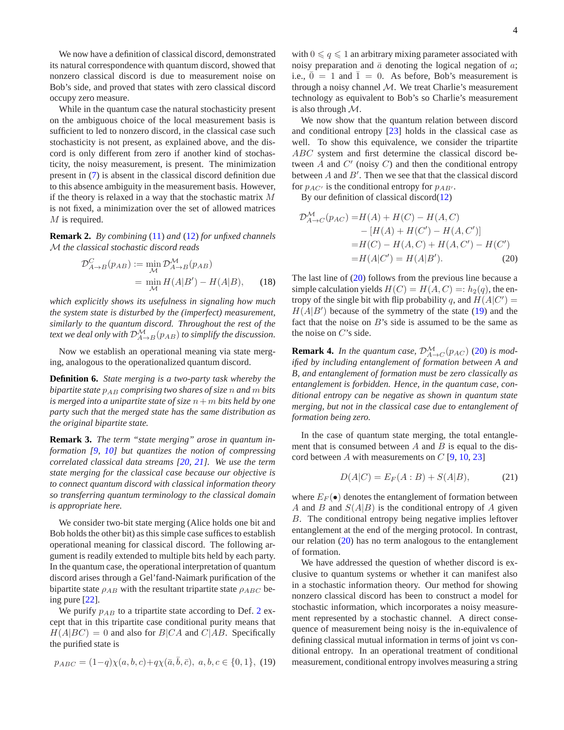We now have a definition of classical discord, demonstrated its natural correspondence with quantum discord, showed that nonzero classical discord is due to measurement noise on Bob's side, and proved that states with zero classical discord occupy zero measure.

While in the quantum case the natural stochasticity present on the ambiguous choice of the local measurement basis is sufficient to led to nonzero discord, in the classical case such stochasticity is not present, as explained above, and the discord is only different from zero if another kind of stochasticity, the noisy measurement, is present. The minimization present in [\(7\)](#page-1-0) is absent in the classical discord definition due to this absence ambiguity in the measurement basis. However, if the theory is relaxed in a way that the stochastic matrix  $M$ is not fixed, a minimization over the set of allowed matrices M is required.

**Remark 2.** *By combining* [\(11\)](#page-2-5) *and* [\(12\)](#page-2-6) *for unfixed channels* M *the classical stochastic discord reads*

$$
\mathcal{D}_{A\to B}^C(p_{AB}) := \min_{\mathcal{M}} \mathcal{D}_{A\to B}^{\mathcal{M}}(p_{AB})
$$
  
= 
$$
\min_{\mathcal{M}} H(A|B') - H(A|B), \qquad (18)
$$

*which explicitly shows its usefulness in signaling how much the system state is disturbed by the (imperfect) measurement, similarly to the quantum discord. Throughout the rest of the* text we deal only with  $\mathcal{D}_{A\rightarrow B}^{\mathcal{M}}(p_{AB})$  to simplify the discussion.

Now we establish an operational meaning via state merging, analogous to the operationalized quantum discord.

**Definition 6.** *State merging is a two-party task whereby the bipartite state* pAB *comprising two shares of size* n *and* m *bits is merged into a unipartite state of size*  $n+m$  *bits held by one party such that the merged state has the same distribution as the original bipartite state.*

**Remark 3.** *The term "state merging" arose in quantum information [\[9,](#page-4-10) [10](#page-4-19)] but quantizes the notion of compressing correlated classical data streams [\[20,](#page-4-20) [21\]](#page-4-21). We use the term state merging for the classical case because our objective is to connect quantum discord with classical information theory so transferring quantum terminology to the classical domain is appropriate here.*

We consider two-bit state merging (Alice holds one bit and Bob holds the other bit) as this simple case suffices to establish operational meaning for classical discord. The following argument is readily extended to multiple bits held by each party. In the quantum case, the operational interpretation of quantum discord arises through a Gel'fand-Naimark purification of the bipartite state  $\rho_{AB}$  with the resultant tripartite state  $\rho_{ABC}$  being pure [\[22\]](#page-4-22).

We purify  $p_{AB}$  to a tripartite state according to Def. [2](#page-1-3) except that in this tripartite case conditional purity means that  $H(A|BC) = 0$  and also for  $B|CA$  and  $C|AB$ . Specifically the purified state is

<span id="page-3-1"></span>
$$
p_{ABC} = (1-q)\chi(a,b,c) + q\chi(\bar{a},\bar{b},\bar{c}), \ a,b,c \in \{0,1\}, \ (19)
$$

with  $0 \leq q \leq 1$  an arbitrary mixing parameter associated with noisy preparation and  $\bar{a}$  denoting the logical negation of a; i.e.,  $\bar{0} = 1$  and  $\bar{1} = 0$ . As before, Bob's measurement is through a noisy channel  $M$ . We treat Charlie's measurement technology as equivalent to Bob's so Charlie's measurement is also through  $M$ .

We now show that the quantum relation between discord and conditional entropy [\[23\]](#page-4-23) holds in the classical case as well. To show this equivalence, we consider the tripartite ABC system and first determine the classical discord between  $A$  and  $C'$  (noisy  $C$ ) and then the conditional entropy between  $A$  and  $B'$ . Then we see that that the classical discord for  $p_{AC'}$  is the conditional entropy for  $p_{AB'}$ .

By our definition of classical discord $(12)$ 

<span id="page-3-0"></span>
$$
\mathcal{D}_{A \to C}^{\mathcal{M}}(p_{AC}) = H(A) + H(C) - H(A, C)
$$
  
\n
$$
- [H(A) + H(C') - H(A, C')]
$$
  
\n
$$
= H(C) - H(A, C) + H(A, C') - H(C')
$$
  
\n
$$
= H(A|C') = H(A|B').
$$
 (20)

The last line of [\(20\)](#page-3-0) follows from the previous line because a simple calculation yields  $H(C) = H(A, C) =: h<sub>2</sub>(q)$ , the entropy of the single bit with flip probability q, and  $H(A|C') =$  $H(A|B')$  because of the symmetry of the state [\(19\)](#page-3-1) and the fact that the noise on  $B$ 's side is assumed to be the same as the noise on C's side.

**Remark 4.** In the quantum case,  $\mathcal{D}_{A\rightarrow C}^{\mathcal{M}}(p_{AC})$  [\(20\)](#page-3-0) is mod*ified by including entanglement of formation between A and B, and entanglement of formation must be zero classically as entanglement is forbidden. Hence, in the quantum case, conditional entropy can be negative as shown in quantum state merging, but not in the classical case due to entanglement of formation being zero.*

In the case of quantum state merging, the total entanglement that is consumed between  $A$  and  $B$  is equal to the discord between A with measurements on  $C$  [\[9,](#page-4-10) [10,](#page-4-19) [23\]](#page-4-23)

$$
D(A|C) = E_F(A:B) + S(A|B),
$$
 (21)

where  $E_F(\bullet)$  denotes the entanglement of formation between A and B and  $S(A|B)$  is the conditional entropy of A given B. The conditional entropy being negative implies leftover entanglement at the end of the merging protocol. In contrast, our relation [\(20\)](#page-3-0) has no term analogous to the entanglement of formation.

We have addressed the question of whether discord is exclusive to quantum systems or whether it can manifest also in a stochastic information theory. Our method for showing nonzero classical discord has been to construct a model for stochastic information, which incorporates a noisy measurement represented by a stochastic channel. A direct consequence of measurement being noisy is the in-equivalence of defining classical mutual information in terms of joint vs conditional entropy. In an operational treatment of conditional measurement, conditional entropy involves measuring a string